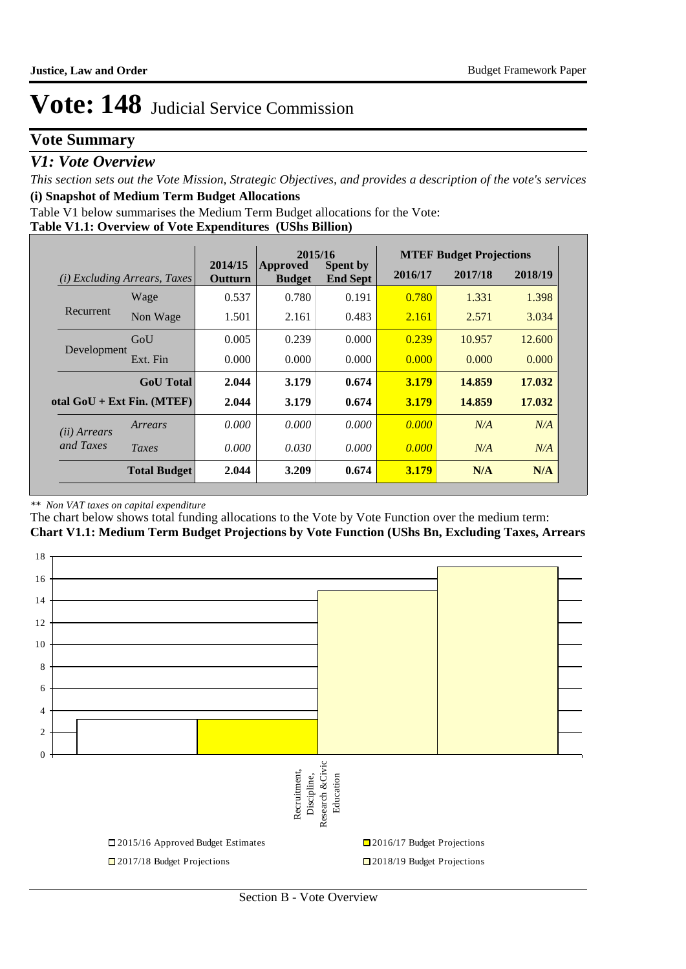### **Vote Summary**

### *V1: Vote Overview*

*This section sets out the Vote Mission, Strategic Objectives, and provides a description of the vote's services* **(i) Snapshot of Medium Term Budget Allocations** 

Table V1 below summarises the Medium Term Budget allocations for the Vote:

#### **Table V1.1: Overview of Vote Expenditures (UShs Billion)**

|                       |                                 | 2015/16                   |                           |                                    | <b>MTEF Budget Projections</b> |         |         |
|-----------------------|---------------------------------|---------------------------|---------------------------|------------------------------------|--------------------------------|---------|---------|
| (i)                   | <i>Excluding Arrears, Taxes</i> | 2014/15<br><b>Outturn</b> | Approved<br><b>Budget</b> | <b>Spent by</b><br><b>End Sept</b> | 2016/17                        | 2017/18 | 2018/19 |
|                       | Wage                            | 0.537                     | 0.780                     | 0.191                              | 0.780                          | 1.331   | 1.398   |
| Recurrent             | Non Wage                        | 1.501                     | 2.161                     | 0.483                              | 2.161                          | 2.571   | 3.034   |
|                       | GoU                             | 0.005                     | 0.239                     | 0.000                              | 0.239                          | 10.957  | 12.600  |
| Development           | Ext. Fin                        | 0.000                     | 0.000                     | 0.000                              | 0.000                          | 0.000   | 0.000   |
|                       | <b>GoU</b> Total                | 2.044                     | 3.179                     | 0.674                              | 3.179                          | 14.859  | 17.032  |
|                       | otal $GoU + Ext Fin. (MTEF)$    | 2.044                     | 3.179                     | 0.674                              | 3.179                          | 14.859  | 17.032  |
| ( <i>ii</i> ) Arrears | Arrears                         | 0.000                     | 0.000                     | 0.000                              | 0.000                          | N/A     | N/A     |
| and Taxes             | Taxes                           | 0.000                     | 0.030                     | 0.000                              | 0.000                          | N/A     | N/A     |
|                       | <b>Total Budget</b>             | 2.044                     | 3.209                     | 0.674                              | <b>3.179</b>                   | N/A     | N/A     |

#### *\*\* Non VAT taxes on capital expenditure*

The chart below shows total funding allocations to the Vote by Vote Function over the medium term: **Chart V1.1: Medium Term Budget Projections by Vote Function (UShs Bn, Excluding Taxes, Arrears**

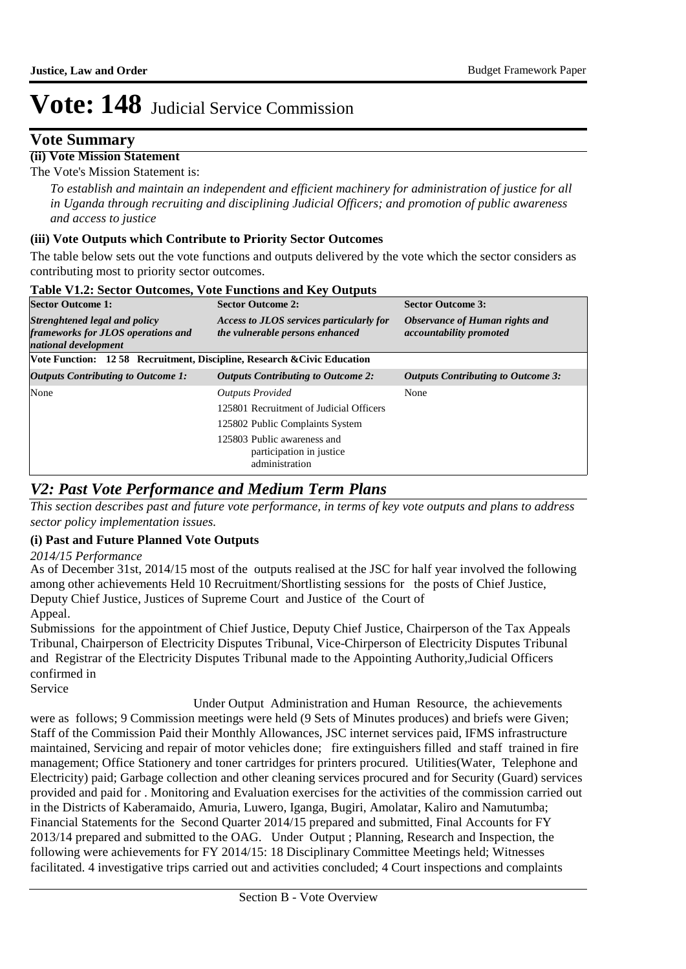### **Vote Summary**

#### **(ii) Vote Mission Statement**

The Vote's Mission Statement is:

*To establish and maintain an independent and efficient machinery for administration of justice for all in Uganda through recruiting and disciplining Judicial Officers; and promotion of public awareness and access to justice*

#### **(iii) Vote Outputs which Contribute to Priority Sector Outcomes**

The table below sets out the vote functions and outputs delivered by the vote which the sector considers as contributing most to priority sector outcomes.

| <b>Sector Outcome 1:</b>                                                                    | <b>Sector Outcome 2:</b>                                                    | <b>Sector Outcome 3:</b>                                         |
|---------------------------------------------------------------------------------------------|-----------------------------------------------------------------------------|------------------------------------------------------------------|
| Strenghtened legal and policy<br>frameworks for JLOS operations and<br>national development | Access to JLOS services particularly for<br>the vulnerable persons enhanced | Observance of Human rights and<br><i>accountability promoted</i> |
| Vote Function: 12 58 Recruitment, Discipline, Research & Civic Education                    |                                                                             |                                                                  |
| <b>Outputs Contributing to Outcome 1:</b>                                                   | <b>Outputs Contributing to Outcome 2:</b>                                   | <b>Outputs Contributing to Outcome 3:</b>                        |
| None                                                                                        | <b>Outputs Provided</b>                                                     | None                                                             |
|                                                                                             | 125801 Recruitment of Judicial Officers                                     |                                                                  |
|                                                                                             | 125802 Public Complaints System                                             |                                                                  |
|                                                                                             | 125803 Public awareness and<br>participation in justice<br>administration   |                                                                  |

#### **Table V1.2: Sector Outcomes, Vote Functions and Key Outputs**

### *V2: Past Vote Performance and Medium Term Plans*

*This section describes past and future vote performance, in terms of key vote outputs and plans to address sector policy implementation issues.* 

#### **(i) Past and Future Planned Vote Outputs**

*2014/15 Performance*

As of December 31st, 2014/15 most of the outputs realised at the JSC for half year involved the following among other achievements Held 10 Recruitment/Shortlisting sessions for the posts of Chief Justice, Deputy Chief Justice, Justices of Supreme Court and Justice of the Court of Appeal.

Submissions for the appointment of Chief Justice, Deputy Chief Justice, Chairperson of the Tax Appeals Tribunal, Chairperson of Electricity Disputes Tribunal, Vice-Chirperson of Electricity Disputes Tribunal and Registrar of the Electricity Disputes Tribunal made to the Appointing Authority,Judicial Officers confirmed in

Service

 Under Output Administration and Human Resource, the achievements were as follows; 9 Commission meetings were held (9 Sets of Minutes produces) and briefs were Given; Staff of the Commission Paid their Monthly Allowances, JSC internet services paid, IFMS infrastructure maintained, Servicing and repair of motor vehicles done; fire extinguishers filled and staff trained in fire management; Office Stationery and toner cartridges for printers procured. Utilities(Water, Telephone and Electricity) paid; Garbage collection and other cleaning services procured and for Security (Guard) services provided and paid for . Monitoring and Evaluation exercises for the activities of the commission carried out in the Districts of Kaberamaido, Amuria, Luwero, Iganga, Bugiri, Amolatar, Kaliro and Namutumba; Financial Statements for the Second Quarter 2014/15 prepared and submitted, Final Accounts for FY 2013/14 prepared and submitted to the OAG. Under Output ; Planning, Research and Inspection, the following were achievements for FY 2014/15: 18 Disciplinary Committee Meetings held; Witnesses facilitated. 4 investigative trips carried out and activities concluded; 4 Court inspections and complaints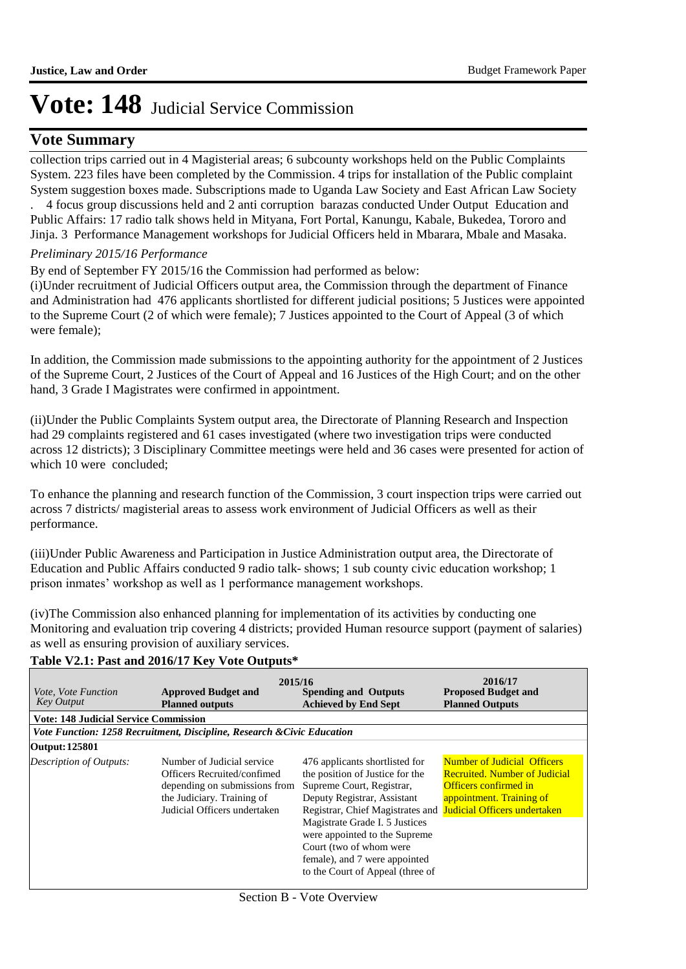### **Vote Summary**

collection trips carried out in 4 Magisterial areas; 6 subcounty workshops held on the Public Complaints System. 223 files have been completed by the Commission. 4 trips for installation of the Public complaint System suggestion boxes made. Subscriptions made to Uganda Law Society and East African Law Society

. 4 focus group discussions held and 2 anti corruption barazas conducted Under Output Education and Public Affairs: 17 radio talk shows held in Mityana, Fort Portal, Kanungu, Kabale, Bukedea, Tororo and Jinja. 3 Performance Management workshops for Judicial Officers held in Mbarara, Mbale and Masaka.

#### *Preliminary 2015/16 Performance*

By end of September FY 2015/16 the Commission had performed as below:

(i) Under recruitment of Judicial Officers output area, the Commission through the department of Finance and Administration had 476 applicants shortlisted for different judicial positions; 5 Justices were appointed to the Supreme Court (2 of which were female); 7 Justices appointed to the Court of Appeal (3 of which were female);

In addition, the Commission made submissions to the appointing authority for the appointment of 2 Justices of the Supreme Court, 2 Justices of the Court of Appeal and 16 Justices of the High Court; and on the other hand, 3 Grade I Magistrates were confirmed in appointment.

(ii) Under the Public Complaints System output area, the Directorate of Planning Research and Inspection had 29 complaints registered and 61 cases investigated (where two investigation trips were conducted across 12 districts); 3 Disciplinary Committee meetings were held and 36 cases were presented for action of which 10 were concluded:

To enhance the planning and research function of the Commission, 3 court inspection trips were carried out across 7 districts/ magisterial areas to assess work environment of Judicial Officers as well as their performance.

(iii) Under Public Awareness and Participation in Justice Administration output area, the Directorate of Education and Public Affairs conducted 9 radio talk- shows; 1 sub county civic education workshop; 1 prison inmates' workshop as well as 1 performance management workshops.

(iv) The Commission also enhanced planning for implementation of its activities by conducting one Monitoring and evaluation trip covering 4 districts; provided Human resource support (payment of salaries) as well as ensuring provision of auxiliary services.

#### **Table V2.1: Past and 2016/17 Key Vote Outputs\***

| <i>Vote, Vote Function</i><br><b>Key Output</b> | 2015/16<br><b>Approved Budget and</b><br><b>Spending and Outputs</b><br><b>Achieved by End Sept</b><br><b>Planned outputs</b>                            |                                                                                                                                                                                                                                                                                                                                                                   | 2016/17<br><b>Proposed Budget and</b><br><b>Planned Outputs</b>                                                                 |
|-------------------------------------------------|----------------------------------------------------------------------------------------------------------------------------------------------------------|-------------------------------------------------------------------------------------------------------------------------------------------------------------------------------------------------------------------------------------------------------------------------------------------------------------------------------------------------------------------|---------------------------------------------------------------------------------------------------------------------------------|
| <b>Vote: 148 Judicial Service Commission</b>    |                                                                                                                                                          |                                                                                                                                                                                                                                                                                                                                                                   |                                                                                                                                 |
|                                                 | Vote Function: 1258 Recruitment, Discipline, Research & Civic Education                                                                                  |                                                                                                                                                                                                                                                                                                                                                                   |                                                                                                                                 |
| Output: 125801                                  |                                                                                                                                                          |                                                                                                                                                                                                                                                                                                                                                                   |                                                                                                                                 |
| Description of Outputs:                         | Number of Judicial service<br>Officers Recruited/confimed<br>depending on submissions from<br>the Judiciary. Training of<br>Judicial Officers undertaken | 476 applicants shortlisted for<br>the position of Justice for the<br>Supreme Court, Registrar,<br>Deputy Registrar, Assistant<br>Registrar, Chief Magistrates and Judicial Officers undertaken<br>Magistrate Grade I. 5 Justices<br>were appointed to the Supreme<br>Court (two of whom were<br>female), and 7 were appointed<br>to the Court of Appeal (three of | <b>Number of Judicial Officers</b><br><b>Recruited. Number of Judicial</b><br>Officers confirmed in<br>appointment. Training of |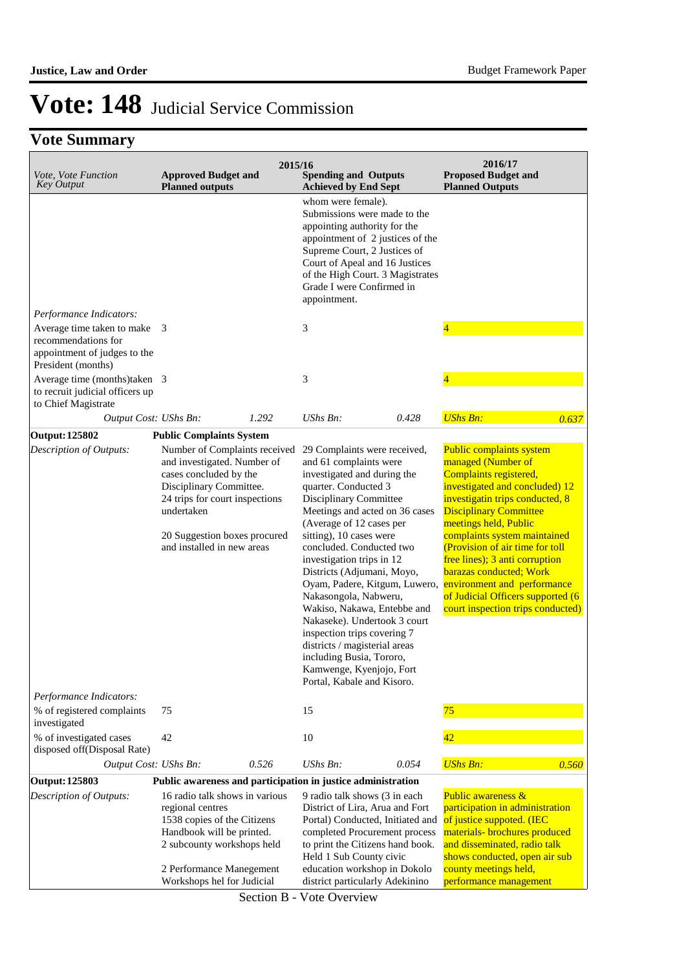## **Vote Summary**

| Vote, Vote Function<br><b>Key Output</b>                                                                  | <b>Approved Budget and</b><br><b>Planned outputs</b>                                                                                                                                                                            | 2015/16 | <b>Spending and Outputs</b><br><b>Achieved by End Sept</b>                                                                                                                                                                                                                                                                                                                                                                                                                                                                                                                                             |       | 2016/17<br><b>Proposed Budget and</b><br><b>Planned Outputs</b>                                                                                                                                                                                                                                                                                                                                                                                  |       |
|-----------------------------------------------------------------------------------------------------------|---------------------------------------------------------------------------------------------------------------------------------------------------------------------------------------------------------------------------------|---------|--------------------------------------------------------------------------------------------------------------------------------------------------------------------------------------------------------------------------------------------------------------------------------------------------------------------------------------------------------------------------------------------------------------------------------------------------------------------------------------------------------------------------------------------------------------------------------------------------------|-------|--------------------------------------------------------------------------------------------------------------------------------------------------------------------------------------------------------------------------------------------------------------------------------------------------------------------------------------------------------------------------------------------------------------------------------------------------|-------|
|                                                                                                           |                                                                                                                                                                                                                                 |         | whom were female).<br>Submissions were made to the<br>appointing authority for the<br>appointment of 2 justices of the<br>Supreme Court, 2 Justices of<br>Court of Apeal and 16 Justices<br>of the High Court. 3 Magistrates<br>Grade I were Confirmed in<br>appointment.                                                                                                                                                                                                                                                                                                                              |       |                                                                                                                                                                                                                                                                                                                                                                                                                                                  |       |
| Performance Indicators:                                                                                   |                                                                                                                                                                                                                                 |         |                                                                                                                                                                                                                                                                                                                                                                                                                                                                                                                                                                                                        |       |                                                                                                                                                                                                                                                                                                                                                                                                                                                  |       |
| Average time taken to make 3<br>recommendations for<br>appointment of judges to the<br>President (months) |                                                                                                                                                                                                                                 |         | 3                                                                                                                                                                                                                                                                                                                                                                                                                                                                                                                                                                                                      |       | $\overline{4}$                                                                                                                                                                                                                                                                                                                                                                                                                                   |       |
| Average time (months)taken 3<br>to recruit judicial officers up<br>to Chief Magistrate                    |                                                                                                                                                                                                                                 |         | 3                                                                                                                                                                                                                                                                                                                                                                                                                                                                                                                                                                                                      |       | 4                                                                                                                                                                                                                                                                                                                                                                                                                                                |       |
| Output Cost: UShs Bn:                                                                                     |                                                                                                                                                                                                                                 | 1.292   | UShs Bn:                                                                                                                                                                                                                                                                                                                                                                                                                                                                                                                                                                                               | 0.428 | <b>UShs Bn:</b>                                                                                                                                                                                                                                                                                                                                                                                                                                  | 0.637 |
| <b>Output: 125802</b>                                                                                     | <b>Public Complaints System</b>                                                                                                                                                                                                 |         |                                                                                                                                                                                                                                                                                                                                                                                                                                                                                                                                                                                                        |       |                                                                                                                                                                                                                                                                                                                                                                                                                                                  |       |
| Description of Outputs:                                                                                   | Number of Complaints received<br>and investigated. Number of<br>cases concluded by the<br>Disciplinary Committee.<br>24 trips for court inspections<br>undertaken<br>20 Suggestion boxes procured<br>and installed in new areas |         | 29 Complaints were received,<br>and 61 complaints were<br>investigated and during the<br>quarter. Conducted 3<br>Disciplinary Committee<br>Meetings and acted on 36 cases<br>(Average of 12 cases per<br>sitting), 10 cases were<br>concluded. Conducted two<br>investigation trips in 12<br>Districts (Adjumani, Moyo,<br>Oyam, Padere, Kitgum, Luwero,<br>Nakasongola, Nabweru,<br>Wakiso, Nakawa, Entebbe and<br>Nakaseke). Undertook 3 court<br>inspection trips covering 7<br>districts / magisterial areas<br>including Busia, Tororo,<br>Kamwenge, Kyenjojo, Fort<br>Portal, Kabale and Kisoro. |       | Public complaints system<br>managed (Number of<br>Complaints registered,<br>investigated and concluded) 12<br>investigatin trips conducted, 8<br><b>Disciplinary Committee</b><br>meetings held, Public<br>complaints system maintained<br>(Provision of air time for toll<br>free lines); 3 anti corruption<br>barazas conducted; Work<br>environment and performance<br>of Judicial Officers supported (6<br>court inspection trips conducted) |       |
| Performance Indicators:                                                                                   |                                                                                                                                                                                                                                 |         |                                                                                                                                                                                                                                                                                                                                                                                                                                                                                                                                                                                                        |       |                                                                                                                                                                                                                                                                                                                                                                                                                                                  |       |
| % of registered complaints<br>investigated                                                                | 75                                                                                                                                                                                                                              |         | 15                                                                                                                                                                                                                                                                                                                                                                                                                                                                                                                                                                                                     |       | 75                                                                                                                                                                                                                                                                                                                                                                                                                                               |       |
| % of investigated cases<br>disposed off(Disposal Rate)                                                    | 42                                                                                                                                                                                                                              |         | 10                                                                                                                                                                                                                                                                                                                                                                                                                                                                                                                                                                                                     |       | 42                                                                                                                                                                                                                                                                                                                                                                                                                                               |       |
| Output Cost: UShs Bn:                                                                                     |                                                                                                                                                                                                                                 | 0.526   | UShs Bn:                                                                                                                                                                                                                                                                                                                                                                                                                                                                                                                                                                                               | 0.054 | <b>UShs Bn:</b>                                                                                                                                                                                                                                                                                                                                                                                                                                  | 0.560 |
| Output: 125803                                                                                            | Public awareness and participation in justice administration                                                                                                                                                                    |         |                                                                                                                                                                                                                                                                                                                                                                                                                                                                                                                                                                                                        |       |                                                                                                                                                                                                                                                                                                                                                                                                                                                  |       |
| <b>Description of Outputs:</b>                                                                            | 16 radio talk shows in various<br>regional centres<br>1538 copies of the Citizens<br>Handbook will be printed.<br>2 subcounty workshops held<br>2 Performance Manegement                                                        |         | 9 radio talk shows (3 in each)<br>District of Lira, Arua and Fort<br>Portal) Conducted, Initiated and<br>completed Procurement process<br>to print the Citizens hand book.<br>Held 1 Sub County civic<br>education workshop in Dokolo                                                                                                                                                                                                                                                                                                                                                                  |       | <b>Public awareness &amp;</b><br>participation in administration<br>of justice suppoted. (IEC<br>materials- brochures produced<br>and disseminated, radio talk<br>shows conducted, open air sub<br>county meetings held,                                                                                                                                                                                                                         |       |
|                                                                                                           | Workshops hel for Judicial                                                                                                                                                                                                      |         | district particularly Adekinino                                                                                                                                                                                                                                                                                                                                                                                                                                                                                                                                                                        |       | performance management                                                                                                                                                                                                                                                                                                                                                                                                                           |       |

Section B - Vote Overview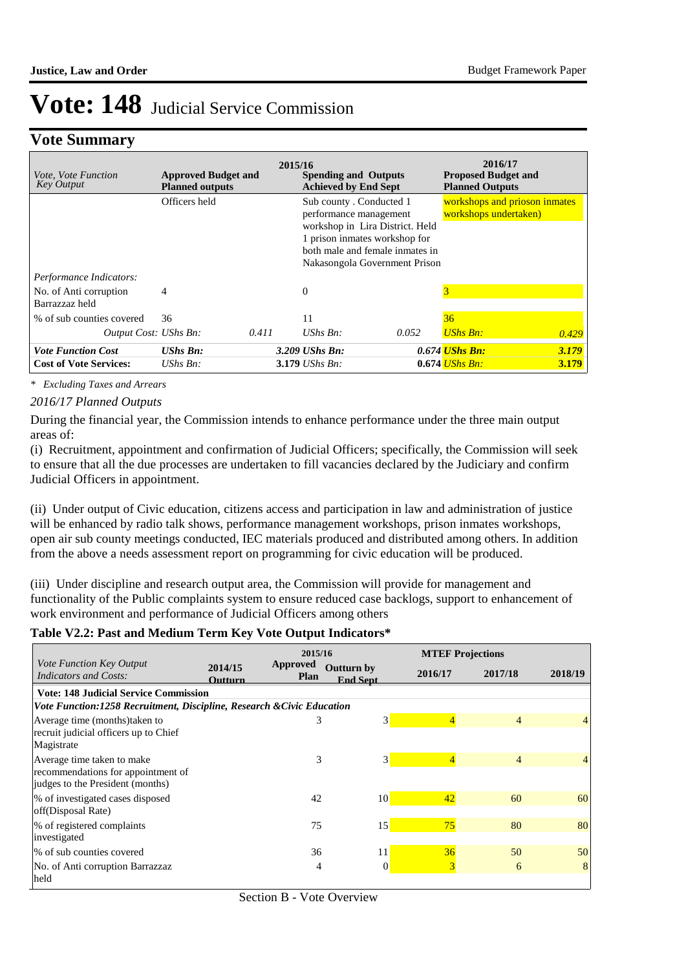### **Vote Summary**

| <i>Vote, Vote Function</i><br><b>Key Output</b> | <b>Approved Budget and</b><br><b>Planned outputs</b> | 2015/16 | <b>Spending and Outputs</b><br><b>Achieved by End Sept</b>                                                                                                |                               | 2016/17<br><b>Proposed Budget and</b><br><b>Planned Outputs</b> |       |
|-------------------------------------------------|------------------------------------------------------|---------|-----------------------------------------------------------------------------------------------------------------------------------------------------------|-------------------------------|-----------------------------------------------------------------|-------|
|                                                 | Officers held                                        |         | Sub county . Conducted 1<br>performance management<br>workshop in Lira District. Held<br>1 prison inmates workshop for<br>both male and female inmates in | Nakasongola Government Prison | workshops and prioson inmates<br>workshops undertaken)          |       |
| Performance Indicators:                         |                                                      |         |                                                                                                                                                           |                               |                                                                 |       |
| No. of Anti corruption<br>Barrazzaz held        | 4                                                    |         | $\Omega$                                                                                                                                                  |                               | 3                                                               |       |
| % of sub counties covered                       | 36                                                   |         | 11                                                                                                                                                        |                               | 36                                                              |       |
| Output Cost: UShs Bn:                           |                                                      | 0.411   | $UShs Bn$ :                                                                                                                                               | 0.052                         | <b>UShs Bn:</b>                                                 | 0.429 |
| <b>Vote Function Cost</b>                       | <b>UShs Bn:</b>                                      |         | $3.209$ UShs Bn:                                                                                                                                          |                               | 0.674 <i>UShs Bn:</i>                                           | 3.179 |
| <b>Cost of Vote Services:</b>                   | UShs $Bn$ :                                          |         | 3.179 <i>UShs Bn</i> :                                                                                                                                    |                               | $0.674$ UShs Bn:                                                | 3.179 |

*\* Excluding Taxes and Arrears*

#### *2016/17 Planned Outputs*

During the financial year, the Commission intends to enhance performance under the three main output areas of:

(i) Recruitment, appointment and confirmation of Judicial Officers; specifically, the Commission will seek to ensure that all the due processes are undertaken to fill vacancies declared by the Judiciary and confirm Judicial Officers in appointment.

(ii) Under output of Civic education, citizens access and participation in law and administration of justice will be enhanced by radio talk shows, performance management workshops, prison inmates workshops, open air sub county meetings conducted, IEC materials produced and distributed among others. In addition from the above a needs assessment report on programming for civic education will be produced.

(iii) Under discipline and research output area, the Commission will provide for management and functionality of the Public complaints system to ensure reduced case backlogs, support to enhancement of work environment and performance of Judicial Officers among others

#### **Table V2.2: Past and Medium Term Key Vote Output Indicators\***

|                                                                        |                           |                                |                                      |         | <b>MTEF Projections</b> |         |
|------------------------------------------------------------------------|---------------------------|--------------------------------|--------------------------------------|---------|-------------------------|---------|
| Vote Function Key Output<br><b>Indicators and Costs:</b>               | 2014/15<br><b>Outturn</b> | <b>Approved</b><br><b>Plan</b> | <b>Outturn by</b><br><b>End Sept</b> | 2016/17 | 2017/18                 | 2018/19 |
| <b>Vote: 148 Judicial Service Commission</b>                           |                           |                                |                                      |         |                         |         |
| Vote Function:1258 Recruitment, Discipline, Research & Civic Education |                           |                                |                                      |         |                         |         |
| Average time (months) taken to                                         |                           | 3                              | 3 <sup>1</sup>                       |         | 4                       |         |
| recruit judicial officers up to Chief<br>Magistrate                    |                           |                                |                                      |         |                         |         |
| Average time taken to make                                             |                           | 3                              | $\mathcal{E}$                        |         | $\overline{4}$          | 4       |
| recommendations for appointment of                                     |                           |                                |                                      |         |                         |         |
| judges to the President (months)                                       |                           |                                |                                      |         |                         |         |
| % of investigated cases disposed                                       |                           | 42                             | 10 <sup>1</sup>                      | 42      | 60                      | 60      |
| off(Disposal Rate)                                                     |                           |                                |                                      |         |                         |         |
| % of registered complaints                                             |                           | 75                             | 15                                   | 75      | 80                      | 80      |
| investigated                                                           |                           |                                |                                      |         |                         |         |
| % of sub counties covered                                              |                           | 36                             | 11                                   | 36      | 50                      | 50      |
| No. of Anti corruption Barrazzaz                                       |                           | 4                              | $\Omega$                             | 3       | 6                       | 8       |
| held                                                                   |                           |                                |                                      |         |                         |         |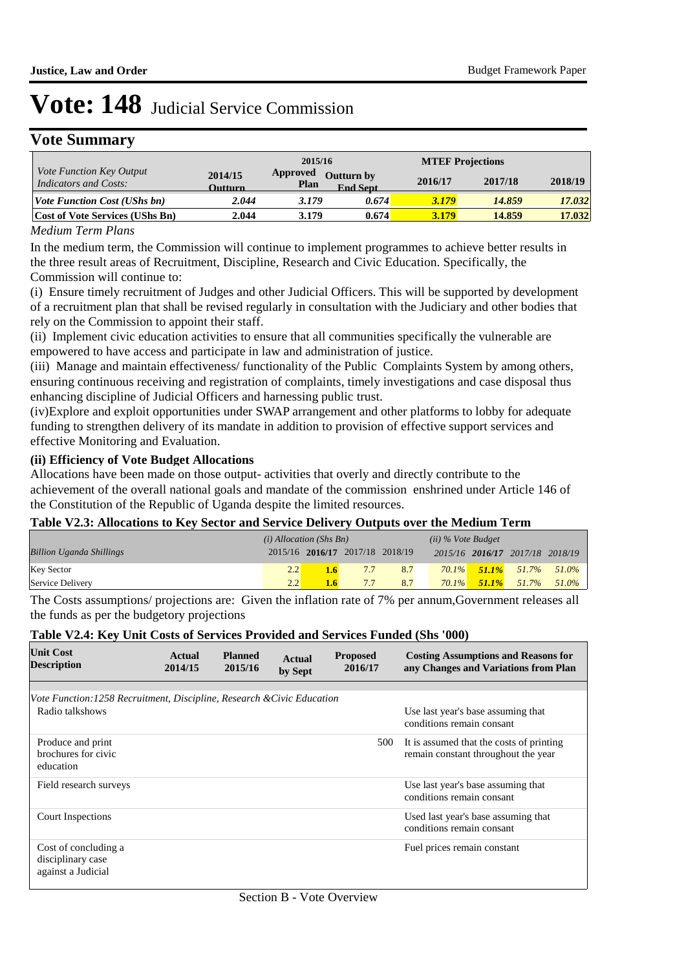## **Vote Summary**

|                                                          |                           | 2015/16                 |                                      | <b>MTEF Projections</b> |         |         |
|----------------------------------------------------------|---------------------------|-------------------------|--------------------------------------|-------------------------|---------|---------|
| <i>Vote Function Key Output</i><br>Indicators and Costs: | 2014/15<br><b>Outturn</b> | <b>Approved</b><br>Plan | <b>Outturn by</b><br><b>End Sept</b> | 2016/17                 | 2017/18 | 2018/19 |
| <i>Vote Function Cost (UShs bn)</i>                      | 2.044                     | 3.179                   | 0.674                                | 3.179                   | 14.859  | 17.032  |
| <b>Cost of Vote Services (UShs Bn)</b>                   | 2.044                     | 3.179                   | 0.674                                | 3.179                   | 14.859  | 17.032  |

#### *Medium Term Plans*

In the medium term, the Commission will continue to implement programmes to achieve better results in the three result areas of Recruitment, Discipline, Research and Civic Education. Specifically, the Commission will continue to:

(i) Ensure timely recruitment of Judges and other Judicial Officers. This will be supported by development of a recruitment plan that shall be revised regularly in consultation with the Judiciary and other bodies that rely on the Commission to appoint their staff.

(ii) Implement civic education activities to ensure that all communities specifically the vulnerable are empowered to have access and participate in law and administration of justice.

(iii) Manage and maintain effectiveness/ functionality of the Public Complaints System by among others, ensuring continuous receiving and registration of complaints, timely investigations and case disposal thus enhancing discipline of Judicial Officers and harnessing public trust.

(iv) Explore and exploit opportunities under SWAP arrangement and other platforms to lobby for adequate funding to strengthen delivery of its mandate in addition to provision of effective support services and effective Monitoring and Evaluation.

#### **(ii) Efficiency of Vote Budget Allocations**

Allocations have been made on those output- activities that overly and directly contribute to the achievement of the overall national goals and mandate of the commission enshrined under Article 146 of the Constitution of the Republic of Uganda despite the limited resources.

#### **Table V2.3: Allocations to Key Sector and Service Delivery Outputs over the Medium Term**

|                                 | $(i)$ Allocation (Shs Bn) |                                 |     |     | $(ii)$ % Vote Budget |                                 |       |
|---------------------------------|---------------------------|---------------------------------|-----|-----|----------------------|---------------------------------|-------|
| <b>Billion Uganda Shillings</b> |                           | 2015/16 2016/17 2017/18 2018/19 |     |     |                      | 2015/16 2016/17 2017/18 2018/19 |       |
| <b>Key Sector</b>               | 2.2                       |                                 | 7.7 | 8.7 |                      | $70.1\%$ 51.1% 51.7% 51.0%      |       |
| Service Delivery                | 2.2                       |                                 | 7.7 | 8.7 | $70.1\%$             | $51.1\%$ 51.7%                  | 51.0% |

The Costs assumptions/ projections are: Given the inflation rate of 7% per annum,Government releases all the funds as per the budgetory projections

#### **Table V2.4: Key Unit Costs of Services Provided and Services Funded (Shs '000)**

| <b>Unit Cost</b><br><b>Description</b>                                  | Actual<br>2014/15 | <b>Planned</b><br>2015/16 | Actual<br>by Sept | <b>Proposed</b><br>2016/17 | <b>Costing Assumptions and Reasons for</b><br>any Changes and Variations from Plan |
|-------------------------------------------------------------------------|-------------------|---------------------------|-------------------|----------------------------|------------------------------------------------------------------------------------|
|                                                                         |                   |                           |                   |                            |                                                                                    |
| Vote Function: 1258 Recruitment, Discipline, Research & Civic Education |                   |                           |                   |                            |                                                                                    |
| Radio talkshows                                                         |                   |                           |                   |                            | Use last year's base assuming that<br>conditions remain consant                    |
| Produce and print<br>brochures for civic<br>education                   |                   |                           |                   | 500                        | It is assumed that the costs of printing<br>remain constant throughout the year    |
| Field research surveys                                                  |                   |                           |                   |                            | Use last year's base assuming that<br>conditions remain consant                    |
| Court Inspections                                                       |                   |                           |                   |                            | Used last year's base assuming that<br>conditions remain consant                   |
| Cost of concluding a<br>disciplinary case<br>against a Judicial         |                   |                           |                   |                            | Fuel prices remain constant                                                        |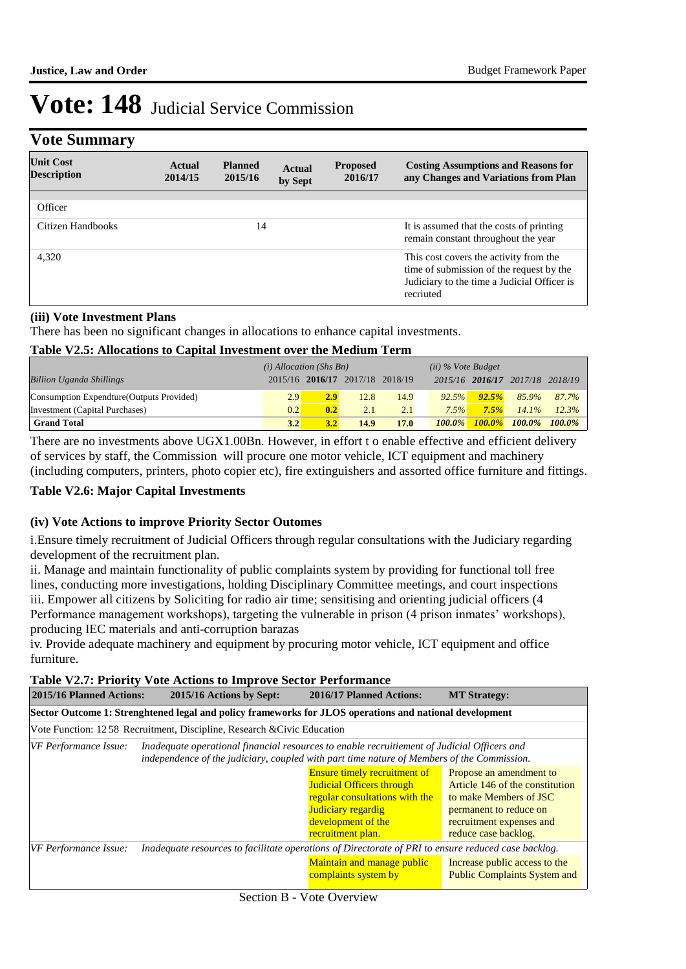## **Vote Summary**

| <b>Unit Cost</b><br><b>Description</b> | Actual<br>2014/15 | <b>Planned</b><br>2015/16 | <b>Actual</b><br>by Sept | <b>Proposed</b><br>2016/17 | <b>Costing Assumptions and Reasons for</b><br>any Changes and Variations from Plan                                                             |
|----------------------------------------|-------------------|---------------------------|--------------------------|----------------------------|------------------------------------------------------------------------------------------------------------------------------------------------|
| Officer                                |                   |                           |                          |                            |                                                                                                                                                |
| Citizen Handbooks                      |                   | 14                        |                          |                            | It is assumed that the costs of printing<br>remain constant throughout the year                                                                |
| 4,320                                  |                   |                           |                          |                            | This cost covers the activity from the<br>time of submission of the request by the<br>Judiciary to the time a Judicial Officer is<br>recriuted |

#### **(iii) Vote Investment Plans**

There has been no significant changes in allocations to enhance capital investments.

#### **Table V2.5: Allocations to Capital Investment over the Medium Term**

|                                           | $(i)$ Allocation (Shs Bn) |     |                                 |      | $(ii)$ % Vote Budget |       |                                 |       |
|-------------------------------------------|---------------------------|-----|---------------------------------|------|----------------------|-------|---------------------------------|-------|
| <b>Billion Uganda Shillings</b>           |                           |     | 2015/16 2016/17 2017/18 2018/19 |      |                      |       | 2015/16 2016/17 2017/18 2018/19 |       |
| Consumption Expendture (Outputs Provided) | 2.9                       | 2.9 | 12.8                            | 14.9 | 92.5%                | 92.5% | 85.9%                           | 87.7% |
| Investment (Capital Purchases)            | 0.2                       | 0.2 | 2.1                             | 2.1  | $7.5\%$              | 7.5%  | $14.1\%$                        | 12.3% |
| <b>Grand Total</b>                        | 3.2                       | 3.2 | 14.9                            | 17.0 | $100.0\%$            |       | $100.0\%$ 100.0% 100.0%         |       |

There are no investments above UGX1.00Bn. However, in effort t o enable effective and efficient delivery of services by staff, the Commission will procure one motor vehicle, ICT equipment and machinery (including computers, printers, photo copier etc), fire extinguishers and assorted office furniture and fittings.

#### **Table V2.6: Major Capital Investments**

#### **(iv) Vote Actions to improve Priority Sector Outomes**

i. Ensure timely recruitment of Judicial Officers through regular consultations with the Judiciary regarding development of the recruitment plan.

ii. Manage and maintain functionality of public complaints system by providing for functional toll free lines, conducting more investigations, holding Disciplinary Committee meetings, and court inspections iii. Empower all citizens by Soliciting for radio air time; sensitising and orienting judicial officers (4 Performance management workshops), targeting the vulnerable in prison (4 prison inmates' workshops), producing IEC materials and anti-corruption barazas

iv. Provide adequate machinery and equipment by procuring motor vehicle, ICT equipment and office furniture.

|  |  | Table V2.7: Priority Vote Actions to Improve Sector Performance |
|--|--|-----------------------------------------------------------------|
|--|--|-----------------------------------------------------------------|

| 2015/16 Planned Actions:                                                                                | 2015/16 Actions by Sept:                                                                                                                                                                  | 2016/17 Planned Actions:                                                                                                                                                   | <b>MT Strategy:</b>                                                                                                                                                |  |  |
|---------------------------------------------------------------------------------------------------------|-------------------------------------------------------------------------------------------------------------------------------------------------------------------------------------------|----------------------------------------------------------------------------------------------------------------------------------------------------------------------------|--------------------------------------------------------------------------------------------------------------------------------------------------------------------|--|--|
| Sector Outcome 1: Strenghtened legal and policy frameworks for JLOS operations and national development |                                                                                                                                                                                           |                                                                                                                                                                            |                                                                                                                                                                    |  |  |
|                                                                                                         | Vote Function: 1258 Recruitment, Discipline, Research & Civic Education                                                                                                                   |                                                                                                                                                                            |                                                                                                                                                                    |  |  |
| VF Performance Issue:                                                                                   | Inadequate operational financial resources to enable recruitiement of Judicial Officers and<br>independence of the judiciary, coupled with part time nature of Members of the Commission. |                                                                                                                                                                            |                                                                                                                                                                    |  |  |
|                                                                                                         |                                                                                                                                                                                           | <b>Ensure timely recruitment of</b><br><b>Judicial Officers through</b><br>regular consultations with the<br>Judiciary regardig<br>development of the<br>recruitment plan. | Propose an amendment to<br>Article 146 of the constitution<br>to make Members of JSC<br>permanent to reduce on<br>recruitment expenses and<br>reduce case backlog. |  |  |
| VF Performance Issue:                                                                                   | Inadequate resources to facilitate operations of Directorate of PRI to ensure reduced case backlog.                                                                                       |                                                                                                                                                                            |                                                                                                                                                                    |  |  |
|                                                                                                         |                                                                                                                                                                                           | Maintain and manage public<br>complaints system by                                                                                                                         | Increase public access to the<br><b>Public Complaints System and</b>                                                                                               |  |  |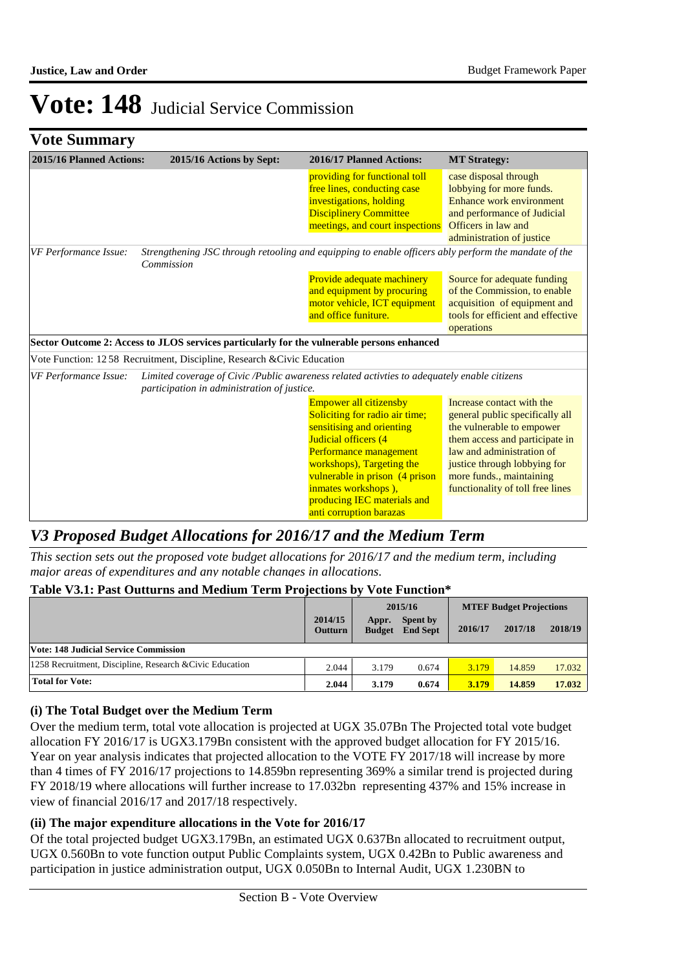|  | <b>Vote Summary</b> |
|--|---------------------|
|--|---------------------|

| 2015/16 Planned Actions:                                                                                                                    | 2015/16 Actions by Sept:                                                                                                                   | 2016/17 Planned Actions:                                                                                                                                                                                                                                                                       | <b>MT Strategy:</b>                                                                                                                                                                                                                                      |  |
|---------------------------------------------------------------------------------------------------------------------------------------------|--------------------------------------------------------------------------------------------------------------------------------------------|------------------------------------------------------------------------------------------------------------------------------------------------------------------------------------------------------------------------------------------------------------------------------------------------|----------------------------------------------------------------------------------------------------------------------------------------------------------------------------------------------------------------------------------------------------------|--|
|                                                                                                                                             |                                                                                                                                            | providing for functional toll<br>free lines, conducting case<br>investigations, holding<br><b>Disciplinery Committee</b><br>meetings, and court inspections                                                                                                                                    | case disposal through<br>lobbying for more funds.<br>Enhance work environment<br>and performance of Judicial<br>Officers in law and<br>administration of justice                                                                                         |  |
| Strengthening JSC through retooling and equipping to enable officers ably perform the mandate of the<br>VF Performance Issue:<br>Commission |                                                                                                                                            |                                                                                                                                                                                                                                                                                                |                                                                                                                                                                                                                                                          |  |
|                                                                                                                                             |                                                                                                                                            | Provide adequate machinery<br>and equipment by procuring<br>motor vehicle, ICT equipment<br>and office funiture.                                                                                                                                                                               | Source for adequate funding<br>of the Commission, to enable<br>acquisition of equipment and<br>tools for efficient and effective<br>operations                                                                                                           |  |
|                                                                                                                                             | Sector Outcome 2: Access to JLOS services particularly for the vulnerable persons enhanced                                                 |                                                                                                                                                                                                                                                                                                |                                                                                                                                                                                                                                                          |  |
|                                                                                                                                             | Vote Function: 1258 Recruitment, Discipline, Research & Civic Education                                                                    |                                                                                                                                                                                                                                                                                                |                                                                                                                                                                                                                                                          |  |
| VF Performance Issue:                                                                                                                       | Limited coverage of Civic/Public awareness related activities to adequately enable citizens<br>participation in administration of justice. |                                                                                                                                                                                                                                                                                                |                                                                                                                                                                                                                                                          |  |
|                                                                                                                                             |                                                                                                                                            | <b>Empower all citizensby</b><br>Soliciting for radio air time;<br>sensitising and orienting<br>Judicial officers (4<br>Performance management<br>workshops), Targeting the<br>vulnerable in prison (4 prison<br>inmates workshops),<br>producing IEC materials and<br>anti corruption barazas | Increase contact with the<br>general public specifically all<br>the vulnerable to empower<br>them access and participate in<br>law and administration of<br>justice through lobbying for<br>more funds., maintaining<br>functionality of toll free lines |  |

### *V3 Proposed Budget Allocations for 2016/17 and the Medium Term*

*This section sets out the proposed vote budget allocations for 2016/17 and the medium term, including major areas of expenditures and any notable changes in allocations.* 

#### **Table V3.1: Past Outturns and Medium Term Projections by Vote Function\***

|                                                          |                           |                        | 2015/16                     | <b>MTEF Budget Projections</b> |         |         |
|----------------------------------------------------------|---------------------------|------------------------|-----------------------------|--------------------------------|---------|---------|
|                                                          | 2014/15<br><b>Outturn</b> | Appr.<br><b>Budget</b> | Spent by<br><b>End Sept</b> | 2016/17                        | 2017/18 | 2018/19 |
| Vote: 148 Judicial Service Commission                    |                           |                        |                             |                                |         |         |
| 1258 Recruitment, Discipline, Research & Civic Education | 2.044                     | 3.179                  | 0.674                       | 3.179                          | 14.859  | 17.032  |
| <b>Total for Vote:</b>                                   | 2.044                     | 3.179                  | 0.674                       | 3.179                          | 14.859  | 17.032  |

#### **(i) The Total Budget over the Medium Term**

Over the medium term, total vote allocation is projected at UGX 35.07Bn The Projected total vote budget allocation FY 2016/17 is UGX3.179Bn consistent with the approved budget allocation for FY 2015/16. Year on year analysis indicates that projected allocation to the VOTE FY 2017/18 will increase by more than 4 times of FY 2016/17 projections to 14.859bn representing 369% a similar trend is projected during FY 2018/19 where allocations will further increase to 17.032bn representing 437% and 15% increase in view of financial 2016/17 and 2017/18 respectively.

#### **(ii) The major expenditure allocations in the Vote for 2016/17**

Of the total projected budget UGX3.179Bn, an estimated UGX 0.637Bn allocated to recruitment output, UGX 0.560Bn to vote function output Public Complaints system, UGX 0.42Bn to Public awareness and participation in justice administration output, UGX 0.050Bn to Internal Audit, UGX 1.230BN to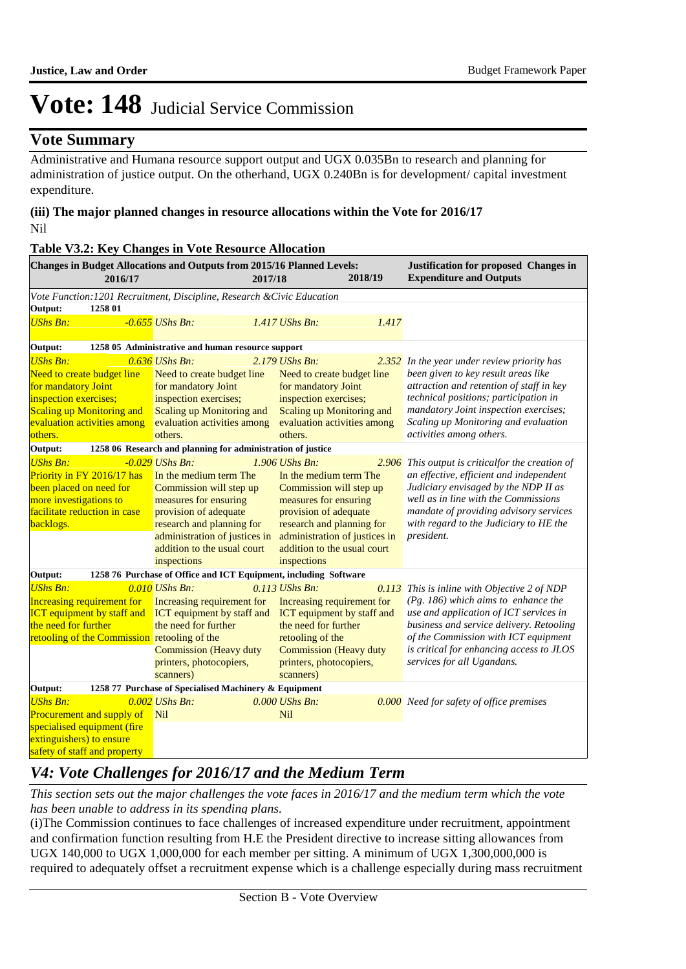### **Vote Summary**

Administrative and Humana resource support output and UGX 0.035Bn to research and planning for administration of justice output. On the otherhand, UGX 0.240Bn is for development/ capital investment expenditure.

#### **(iii) The major planned changes in resource allocations within the Vote for 2016/17** Nil

| <b>Table V3.2: Key Changes in Vote Resource Allocation</b>                                                                                                                                   |                                                                                                                                                                                                                                      |                       |                                                                                                                                                                                                                 |         |                                                                                                                                                                                                                                                                                               |  |
|----------------------------------------------------------------------------------------------------------------------------------------------------------------------------------------------|--------------------------------------------------------------------------------------------------------------------------------------------------------------------------------------------------------------------------------------|-----------------------|-----------------------------------------------------------------------------------------------------------------------------------------------------------------------------------------------------------------|---------|-----------------------------------------------------------------------------------------------------------------------------------------------------------------------------------------------------------------------------------------------------------------------------------------------|--|
| Changes in Budget Allocations and Outputs from 2015/16 Planned Levels:<br>2016/17                                                                                                            |                                                                                                                                                                                                                                      | 2017/18               |                                                                                                                                                                                                                 | 2018/19 | Justification for proposed Changes in<br><b>Expenditure and Outputs</b>                                                                                                                                                                                                                       |  |
| Vote Function: 1201 Recruitment, Discipline, Research & Civic Education                                                                                                                      |                                                                                                                                                                                                                                      |                       |                                                                                                                                                                                                                 |         |                                                                                                                                                                                                                                                                                               |  |
| Output:<br>1258 01                                                                                                                                                                           |                                                                                                                                                                                                                                      |                       |                                                                                                                                                                                                                 |         |                                                                                                                                                                                                                                                                                               |  |
| <b>UShs Bn:</b>                                                                                                                                                                              | $-0.655$ UShs Bn:                                                                                                                                                                                                                    | $1.417$ UShs Bn:      |                                                                                                                                                                                                                 | 1.417   |                                                                                                                                                                                                                                                                                               |  |
| Output:                                                                                                                                                                                      | 1258 05 Administrative and human resource support                                                                                                                                                                                    |                       |                                                                                                                                                                                                                 |         |                                                                                                                                                                                                                                                                                               |  |
| <b>UShs Bn:</b>                                                                                                                                                                              | $0.636$ UShs Bn:                                                                                                                                                                                                                     | 2.179 UShs Bn:        |                                                                                                                                                                                                                 | 2.352   | In the year under review priority has                                                                                                                                                                                                                                                         |  |
| Need to create budget line<br>for mandatory Joint<br>inspection exercises;<br><b>Scaling up Monitoring and</b><br>evaluation activities among<br>others.                                     | Need to create budget line<br>for mandatory Joint<br>inspection exercises;<br>Scaling up Monitoring and<br>evaluation activities among<br>others.                                                                                    |                       | Need to create budget line<br>for mandatory Joint<br>inspection exercises;<br>Scaling up Monitoring and<br>evaluation activities among<br>others.                                                               |         | been given to key result areas like<br>attraction and retention of staff in key<br>technical positions; participation in<br>mandatory Joint inspection exercises;<br>Scaling up Monitoring and evaluation<br>activities among others.                                                         |  |
| Output:                                                                                                                                                                                      | 1258 06 Research and planning for administration of justice                                                                                                                                                                          |                       |                                                                                                                                                                                                                 |         |                                                                                                                                                                                                                                                                                               |  |
| <b>UShs Bn:</b><br>Priority in FY 2016/17 has<br>been placed on need for<br>more investigations to<br>facilitate reduction in case<br>backlogs.                                              | $-0.029$ UShs Bn:<br>In the medium term The<br>Commission will step up<br>measures for ensuring<br>provision of adequate<br>research and planning for<br>administration of justices in<br>addition to the usual court<br>inspections | 1.906 UShs Bn.        | In the medium term The<br>Commission will step up<br>measures for ensuring<br>provision of adequate<br>research and planning for<br>administration of justices in<br>addition to the usual court<br>inspections | 2.906   | This output is criticalfor the creation of<br>an effective, efficient and independent<br>Judiciary envisaged by the NDP II as<br>well as in line with the Commissions<br>mandate of providing advisory services<br>with regard to the Judiciary to HE the<br>president.                       |  |
| 1258 76 Purchase of Office and ICT Equipment, including Software<br>Output:                                                                                                                  |                                                                                                                                                                                                                                      |                       |                                                                                                                                                                                                                 |         |                                                                                                                                                                                                                                                                                               |  |
| <b>UShs Bn:</b><br><b>Increasing requirement for</b><br><b>ICT</b> equipment by staff and ICT equipment by staff and<br>the need for further<br>retooling of the Commission retooling of the | 0.010 UShs Bn:<br>Increasing requirement for<br>the need for further<br><b>Commission</b> (Heavy duty<br>printers, photocopiers,<br>scanners)                                                                                        | 0.113 UShs Bn.        | Increasing requirement for<br>ICT equipment by staff and<br>the need for further<br>retooling of the<br><b>Commission</b> (Heavy duty<br>printers, photocopiers,<br>scanners)                                   |         | 0.113 This is inline with Objective 2 of NDP<br>$(Pg. 186)$ which aims to enhance the<br>use and application of ICT services in<br>business and service delivery. Retooling<br>of the Commission with ICT equipment<br>is critical for enhancing access to JLOS<br>services for all Ugandans. |  |
| Output:<br>1258 77 Purchase of Specialised Machinery & Equipment                                                                                                                             |                                                                                                                                                                                                                                      |                       |                                                                                                                                                                                                                 |         |                                                                                                                                                                                                                                                                                               |  |
| <b>UShs Bn:</b><br>Procurement and supply of<br>specialised equipment (fire<br>extinguishers) to ensure<br>safety of staff and property                                                      | $0.002$ UShs Bn:<br>Nil                                                                                                                                                                                                              | 0.000 UShs Bn:<br>Nil |                                                                                                                                                                                                                 |         | 0.000 Need for safety of office premises                                                                                                                                                                                                                                                      |  |

## *V4: Vote Challenges for 2016/17 and the Medium Term*

*This section sets out the major challenges the vote faces in 2016/17 and the medium term which the vote has been unable to address in its spending plans.*

(i) The Commission continues to face challenges of increased expenditure under recruitment, appointment and confirmation function resulting from H.E the President directive to increase sitting allowances from UGX 140,000 to UGX 1,000,000 for each member per sitting. A minimum of UGX 1,300,000,000 is required to adequately offset a recruitment expense which is a challenge especially during mass recruitment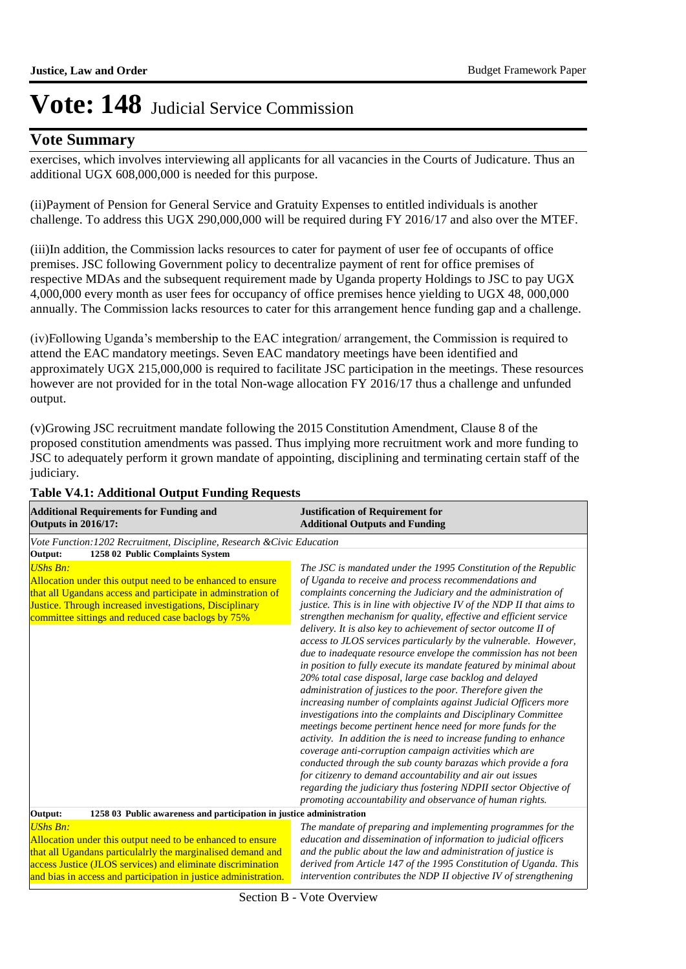### **Vote Summary**

exercises, which involves interviewing all applicants for all vacancies in the Courts of Judicature. Thus an additional UGX 608,000,000 is needed for this purpose.

(ii) Payment of Pension for General Service and Gratuity Expenses to entitled individuals is another challenge. To address this UGX 290,000,000 will be required during FY 2016/17 and also over the MTEF.

(iii)In addition, the Commission lacks resources to cater for payment of user fee of occupants of office premises. JSC following Government policy to decentralize payment of rent for office premises of respective MDAs and the subsequent requirement made by Uganda property Holdings to JSC to pay UGX 4,000,000 every month as user fees for occupancy of office premises hence yielding to UGX 48, 000,000 annually. The Commission lacks resources to cater for this arrangement hence funding gap and a challenge.

(iv) Following Uganda's membership to the EAC integration/ arrangement, the Commission is required to attend the EAC mandatory meetings. Seven EAC mandatory meetings have been identified and approximately UGX 215,000,000 is required to facilitate JSC participation in the meetings. These resources however are not provided for in the total Non-wage allocation FY 2016/17 thus a challenge and unfunded output.

(v) Growing JSC recruitment mandate following the 2015 Constitution Amendment, Clause 8 of the proposed constitution amendments was passed. Thus implying more recruitment work and more funding to JSC to adequately perform it grown mandate of appointing, disciplining and terminating certain staff of the judiciary.

| <b>Additional Requirements for Funding and</b><br><b>Outputs in 2016/17:</b>                                                                                                                                                                                                   | <b>Justification of Requirement for</b><br><b>Additional Outputs and Funding</b>                                                                                                                                                                                                                                                                                                                                                                                                                                                                                                                                                                                                                                                                                                                                                                                                                                                                                                                                                                                                                                                                                                                                                                                                                                                               |  |  |
|--------------------------------------------------------------------------------------------------------------------------------------------------------------------------------------------------------------------------------------------------------------------------------|------------------------------------------------------------------------------------------------------------------------------------------------------------------------------------------------------------------------------------------------------------------------------------------------------------------------------------------------------------------------------------------------------------------------------------------------------------------------------------------------------------------------------------------------------------------------------------------------------------------------------------------------------------------------------------------------------------------------------------------------------------------------------------------------------------------------------------------------------------------------------------------------------------------------------------------------------------------------------------------------------------------------------------------------------------------------------------------------------------------------------------------------------------------------------------------------------------------------------------------------------------------------------------------------------------------------------------------------|--|--|
| Vote Function: 1202 Recruitment, Discipline, Research & Civic Education                                                                                                                                                                                                        |                                                                                                                                                                                                                                                                                                                                                                                                                                                                                                                                                                                                                                                                                                                                                                                                                                                                                                                                                                                                                                                                                                                                                                                                                                                                                                                                                |  |  |
| 1258 02 Public Complaints System<br>Output:                                                                                                                                                                                                                                    |                                                                                                                                                                                                                                                                                                                                                                                                                                                                                                                                                                                                                                                                                                                                                                                                                                                                                                                                                                                                                                                                                                                                                                                                                                                                                                                                                |  |  |
| <b>UShs Bn:</b><br>Allocation under this output need to be enhanced to ensure<br>that all Ugandans access and participate in adminstration of<br>Justice. Through increased investigations, Disciplinary<br>committee sittings and reduced case baclogs by 75%                 | The JSC is mandated under the 1995 Constitution of the Republic<br>of Uganda to receive and process recommendations and<br>complaints concerning the Judiciary and the administration of<br>justice. This is in line with objective IV of the NDP II that aims to<br>strengthen mechanism for quality, effective and efficient service<br>delivery. It is also key to achievement of sector outcome II of<br>access to JLOS services particularly by the vulnerable. However,<br>due to inadequate resource envelope the commission has not been<br>in position to fully execute its mandate featured by minimal about<br>20% total case disposal, large case backlog and delayed<br>administration of justices to the poor. Therefore given the<br>increasing number of complaints against Judicial Officers more<br>investigations into the complaints and Disciplinary Committee<br>meetings become pertinent hence need for more funds for the<br>activity. In addition the is need to increase funding to enhance<br>coverage anti-corruption campaign activities which are<br>conducted through the sub county barazas which provide a fora<br>for citizenry to demand accountability and air out issues<br>regarding the judiciary thus fostering NDPII sector Objective of<br>promoting accountability and observance of human rights. |  |  |
| 1258 03 Public awareness and participation in justice administration<br>Output:                                                                                                                                                                                                |                                                                                                                                                                                                                                                                                                                                                                                                                                                                                                                                                                                                                                                                                                                                                                                                                                                                                                                                                                                                                                                                                                                                                                                                                                                                                                                                                |  |  |
| <b>UShs Bn:</b><br>Allocation under this output need to be enhanced to ensure<br>that all Ugandans particulalrly the marginalised demand and<br>access Justice (JLOS services) and eliminate discrimination<br>and bias in access and participation in justice administration. | The mandate of preparing and implementing programmes for the<br>education and dissemination of information to judicial officers<br>and the public about the law and administration of justice is<br>derived from Article 147 of the 1995 Constitution of Uganda. This<br>intervention contributes the NDP II objective IV of strengthening                                                                                                                                                                                                                                                                                                                                                                                                                                                                                                                                                                                                                                                                                                                                                                                                                                                                                                                                                                                                     |  |  |

#### **Table V4.1: Additional Output Funding Requests**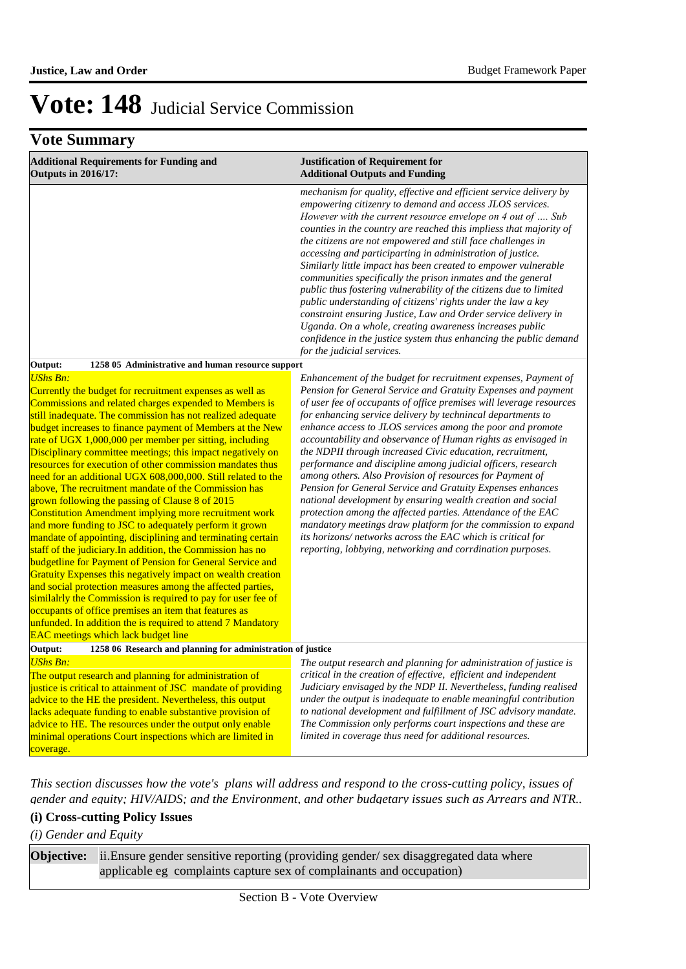### **Vote Summary**

| <b>Additional Requirements for Funding and</b><br><b>Outputs in 2016/17:</b>                                                                                                                                                                                                                                                                                                                                                                                                                                                                                                                                                                                                                                                                                                                                                                                                                                                                                                                                                                                                                                                                                                                                                                                                                                      | <b>Justification of Requirement for</b><br><b>Additional Outputs and Funding</b>                                                                                                                                                                                                                                                                                                                                                                                                                                                                                                                                                                                                                                                                                                                                                                                                                                                                                                        |  |  |
|-------------------------------------------------------------------------------------------------------------------------------------------------------------------------------------------------------------------------------------------------------------------------------------------------------------------------------------------------------------------------------------------------------------------------------------------------------------------------------------------------------------------------------------------------------------------------------------------------------------------------------------------------------------------------------------------------------------------------------------------------------------------------------------------------------------------------------------------------------------------------------------------------------------------------------------------------------------------------------------------------------------------------------------------------------------------------------------------------------------------------------------------------------------------------------------------------------------------------------------------------------------------------------------------------------------------|-----------------------------------------------------------------------------------------------------------------------------------------------------------------------------------------------------------------------------------------------------------------------------------------------------------------------------------------------------------------------------------------------------------------------------------------------------------------------------------------------------------------------------------------------------------------------------------------------------------------------------------------------------------------------------------------------------------------------------------------------------------------------------------------------------------------------------------------------------------------------------------------------------------------------------------------------------------------------------------------|--|--|
|                                                                                                                                                                                                                                                                                                                                                                                                                                                                                                                                                                                                                                                                                                                                                                                                                                                                                                                                                                                                                                                                                                                                                                                                                                                                                                                   | mechanism for quality, effective and efficient service delivery by<br>empowering citizenry to demand and access JLOS services.<br>However with the current resource envelope on 4 out of  Sub<br>counties in the country are reached this impliess that majority of<br>the citizens are not empowered and still face challenges in<br>accessing and participarting in administration of justice.<br>Similarly little impact has been created to empower vulnerable<br>communities specifically the prison inmates and the general<br>public thus fostering vulnerability of the citizens due to limited<br>public understanding of citizens' rights under the law a key<br>constraint ensuring Justice, Law and Order service delivery in<br>Uganda. On a whole, creating awareness increases public<br>confidence in the justice system thus enhancing the public demand<br>for the judicial services.                                                                                 |  |  |
| 1258 05 Administrative and human resource support<br>Output:                                                                                                                                                                                                                                                                                                                                                                                                                                                                                                                                                                                                                                                                                                                                                                                                                                                                                                                                                                                                                                                                                                                                                                                                                                                      |                                                                                                                                                                                                                                                                                                                                                                                                                                                                                                                                                                                                                                                                                                                                                                                                                                                                                                                                                                                         |  |  |
| <b>UShs Bn:</b><br>Currently the budget for recruitment expenses as well as<br>Commissions and related charges expended to Members is<br>still inadequate. The commission has not realized adequate<br>budget increases to finance payment of Members at the New<br>rate of UGX 1,000,000 per member per sitting, including<br>Disciplinary committee meetings; this impact negatively on<br>resources for execution of other commission mandates thus<br>need for an additional UGX 608,000,000. Still related to the<br>above, The recruitment mandate of the Commission has<br>grown following the passing of Clause 8 of 2015<br>Constitution Amendment implying more recruitment work<br>and more funding to JSC to adequately perform it grown<br>mandate of appointing, disciplining and terminating certain<br>staff of the judiciary. In addition, the Commission has no<br>budgetline for Payment of Pension for General Service and<br>Gratuity Expenses this negatively impact on wealth creation<br>and social protection measures among the affected parties,<br>similalrly the Commission is required to pay for user fee of<br>occupants of office premises an item that features as<br>unfunded. In addition the is required to attend 7 Mandatory<br><b>EAC</b> meetings which lack budget line | Enhancement of the budget for recruitment expenses, Payment of<br>Pension for General Service and Gratuity Expenses and payment<br>of user fee of occupants of office premises will leverage resources<br>for enhancing service delivery by technincal departments to<br>enhance access to JLOS services among the poor and promote<br>accountability and observance of Human rights as envisaged in<br>the NDPII through increased Civic education, recruitment,<br>performance and discipline among judicial officers, research<br>among others. Also Provision of resources for Payment of<br>Pension for General Service and Gratuity Expenses enhances<br>national development by ensuring wealth creation and social<br>protection among the affected parties. Attendance of the EAC<br>mandatory meetings draw platform for the commission to expand<br>its horizons/networks across the EAC which is critical for<br>reporting, lobbying, networking and corrdination purposes. |  |  |
| Output:<br>1258 06 Research and planning for administration of justice                                                                                                                                                                                                                                                                                                                                                                                                                                                                                                                                                                                                                                                                                                                                                                                                                                                                                                                                                                                                                                                                                                                                                                                                                                            |                                                                                                                                                                                                                                                                                                                                                                                                                                                                                                                                                                                                                                                                                                                                                                                                                                                                                                                                                                                         |  |  |
| UShs Bn:<br>The output research and planning for administration of<br>justice is critical to attainment of JSC mandate of providing<br>advice to the HE the president. Nevertheless, this output<br>lacks adequate funding to enable substantive provision of<br>advice to HE. The resources under the output only enable<br>minimal operations Court inspections which are limited in<br>coverage.                                                                                                                                                                                                                                                                                                                                                                                                                                                                                                                                                                                                                                                                                                                                                                                                                                                                                                               | The output research and planning for administration of justice is<br>critical in the creation of effective, efficient and independent<br>Judiciary envisaged by the NDP II. Nevertheless, funding realised<br>under the output is inadequate to enable meaningful contribution<br>to national development and fulfillment of JSC advisory mandate.<br>The Commission only performs court inspections and these are<br>limited in coverage thus need for additional resources.                                                                                                                                                                                                                                                                                                                                                                                                                                                                                                           |  |  |

*This section discusses how the vote's plans will address and respond to the cross-cutting policy, issues of gender and equity; HIV/AIDS; and the Environment, and other budgetary issues such as Arrears and NTR..* 

#### **(i) Cross-cutting Policy Issues**

#### *(i) Gender and Equity*

ii. Ensure gender sensitive reporting (providing gender/ sex disaggregated data where applicable eg complaints capture sex of complainants and occupation) **Objective:**